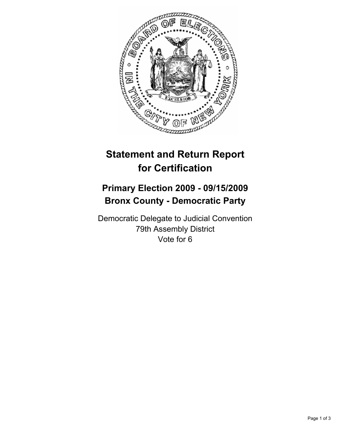

## **Statement and Return Report for Certification**

## **Primary Election 2009 - 09/15/2009 Bronx County - Democratic Party**

Democratic Delegate to Judicial Convention 79th Assembly District Vote for 6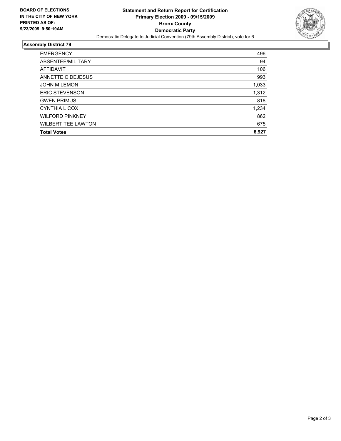

## **Assembly District 79**

| <b>EMERGENCY</b>          | 496   |
|---------------------------|-------|
| ABSENTEE/MILITARY         | 94    |
| AFFIDAVIT                 | 106   |
| ANNETTE C DEJESUS         | 993   |
| <b>JOHN M LEMON</b>       | 1,033 |
| <b>ERIC STEVENSON</b>     | 1,312 |
| <b>GWEN PRIMUS</b>        | 818   |
| CYNTHIA L COX             | 1,234 |
| <b>WILFORD PINKNEY</b>    | 862   |
| <b>WILBERT TEE LAWTON</b> | 675   |
| <b>Total Votes</b>        | 6,927 |
|                           |       |